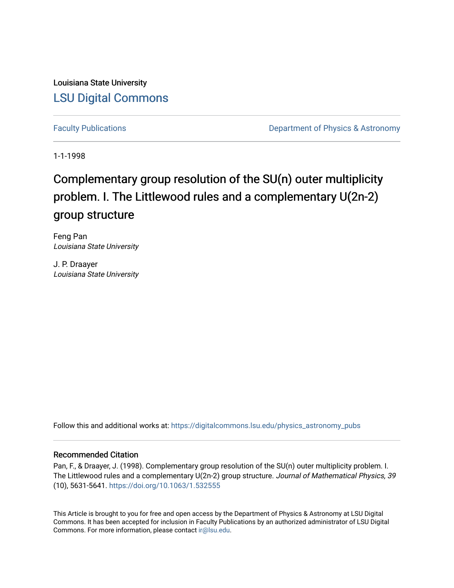Louisiana State University [LSU Digital Commons](https://digitalcommons.lsu.edu/)

[Faculty Publications](https://digitalcommons.lsu.edu/physics_astronomy_pubs) **Exercise 2 and Table 2 and Table 2 and Table 2 and Table 2 and Table 2 and Table 2 and Table 2 and Table 2 and Table 2 and Table 2 and Table 2 and Table 2 and Table 2 and Table 2 and Table 2 and Table** 

1-1-1998

# Complementary group resolution of the SU(n) outer multiplicity problem. I. The Littlewood rules and a complementary U(2n-2) group structure

Feng Pan Louisiana State University

J. P. Draayer Louisiana State University

Follow this and additional works at: [https://digitalcommons.lsu.edu/physics\\_astronomy\\_pubs](https://digitalcommons.lsu.edu/physics_astronomy_pubs?utm_source=digitalcommons.lsu.edu%2Fphysics_astronomy_pubs%2F1943&utm_medium=PDF&utm_campaign=PDFCoverPages) 

### Recommended Citation

Pan, F., & Draayer, J. (1998). Complementary group resolution of the SU(n) outer multiplicity problem. I. The Littlewood rules and a complementary U(2n-2) group structure. Journal of Mathematical Physics, 39 (10), 5631-5641.<https://doi.org/10.1063/1.532555>

This Article is brought to you for free and open access by the Department of Physics & Astronomy at LSU Digital Commons. It has been accepted for inclusion in Faculty Publications by an authorized administrator of LSU Digital Commons. For more information, please contact [ir@lsu.edu](mailto:ir@lsu.edu).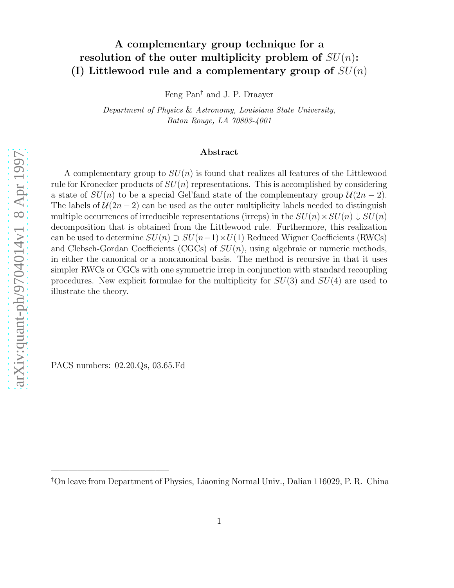# A complementary group technique for a resolution of the outer multiplicity problem of  $SU(n)$ : (I) Littlewood rule and a complementary group of  $SU(n)$

Feng Pan † and J. P. Draayer

Department of Physics & Astronomy, Louisiana State University, Baton Rouge, LA 70803-4001

#### Abstract

A complementary group to  $SU(n)$  is found that realizes all features of the Littlewood rule for Kronecker products of  $SU(n)$  representations. This is accomplished by considering a state of  $SU(n)$  to be a special Gel'fand state of the complementary group  $\mathcal{U}(2n-2)$ . The labels of  $\mathcal{U}(2n-2)$  can be used as the outer multiplicity labels needed to distinguish multiple occurrences of irreducible representations (irreps) in the  $SU(n) \times SU(n) \downarrow SU(n)$ decomposition that is obtained from the Littlewood rule. Furthermore, this realization can be used to determine  $SU(n) \supset SU(n-1) \times U(1)$  Reduced Wigner Coefficients (RWCs) and Clebsch-Gordan Coefficients (CGCs) of  $SU(n)$ , using algebraic or numeric methods, in either the canonical or a noncanonical basis. The method is recursive in that it uses simpler RWCs or CGCs with one symmetric irrep in conjunction with standard recoupling procedures. New explicit formulae for the multiplicity for  $SU(3)$  and  $SU(4)$  are used to illustrate the theory.

PACS numbers: 02.20.Qs, 03.65.Fd

—————————————–

<sup>†</sup>On leave from Department of Physics, Liaoning Normal Univ., Dalian 116029, P. R. China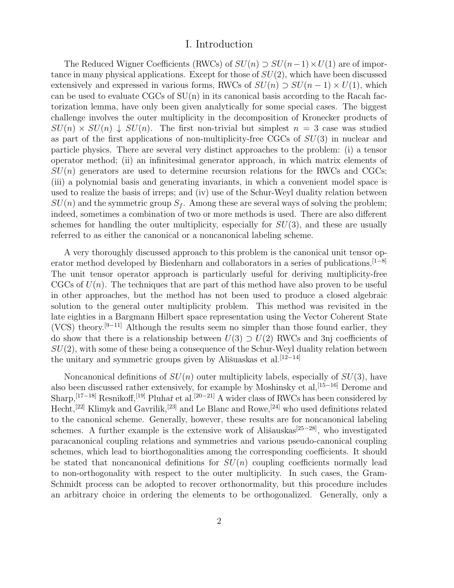## I. Introduction

The Reduced Wigner Coefficients (RWCs) of  $SU(n) \supset SU(n-1) \times U(1)$  are of importance in many physical applications. Except for those of  $SU(2)$ , which have been discussed extensively and expressed in various forms, RWCs of  $SU(n) \supset SU(n-1) \times U(1)$ , which can be used to evaluate  $CGCs$  of  $SU(n)$  in its canonical basis according to the Racah factorization lemma, have only been given analytically for some special cases. The biggest challenge involves the outer multiplicity in the decomposition of Kronecker products of  $SU(n) \times SU(n) \downarrow SU(n)$ . The first non-trivial but simplest  $n = 3$  case was studied as part of the first applications of non-multiplicity-free CGCs of  $SU(3)$  in nuclear and particle physics. There are several very distinct approaches to the problem: (i) a tensor operator method; (ii) an infinitesimal generator approach, in which matrix elements of  $SU(n)$  generators are used to determine recursion relations for the RWCs and CGCs; (iii) a polynomial basis and generating invariants, in which a convenient model space is used to realize the basis of irreps; and (iv) use of the Schur-Weyl duality relation between  $SU(n)$  and the symmetric group  $S_f$ . Among these are several ways of solving the problem; indeed, sometimes a combination of two or more methods is used. There are also different schemes for handling the outer multiplicity, especially for  $SU(3)$ , and these are usually referred to as either the canonical or a noncanonical labeling scheme.

A very thoroughly discussed approach to this problem is the canonical unit tensor operator method developed by Biedenharn and collaborators in a series of publications.<sup>[1−8]</sup> The unit tensor operator approach is particularly useful for deriving multiplicity-free CGCs of  $U(n)$ . The techniques that are part of this method have also proven to be useful in other approaches, but the method has not been used to produce a closed algebraic solution to the general outer multiplicity problem. This method was revisited in the late eighties in a Bargmann Hilbert space representation using the Vector Coherent State (VCS) theory.<sup>[9−11]</sup> Although the results seem no simpler than those found earlier, they do show that there is a relationship between  $U(3) \supset U(2)$  RWCs and 3nj coefficients of  $SU(2)$ , with some of these being a consequence of the Schur-Weyl duality relation between the unitary and symmetric groups given by Ališuaskas et al.<sup>[12−14]</sup>

Noncanonical definitions of  $SU(n)$  outer multiplicity labels, especially of  $SU(3)$ , have also been discussed rather extensively, for example by Moshinsky et al,<sup>[15–16]</sup> Derome and Sharp,<sup>[17−18]</sup> Resnikoff,<sup>[19]</sup> Pluhař et al.<sup>[20−21]</sup> A wider class of RWCs has been considered by Hecht,<sup>[22]</sup> Klimyk and Gavrilik,<sup>[23]</sup> and Le Blanc and Rowe,<sup>[24]</sup> who used definitions related to the canonical scheme. Generally, however, these results are for noncanonical labeling schemes. A further example is the extensive work of Ališauskas<sup>[25–28]</sup>, who investigated paracanonical coupling relations and symmetries and various pseudo-canonical coupling schemes, which lead to biorthogonalities among the corresponding coefficients. It should be stated that noncanonical definitions for  $SU(n)$  coupling coefficients normally lead to non-orthogonality with respect to the outer multiplicity. In such cases, the Gram-Schmidt process can be adopted to recover orthonormality, but this procedure includes an arbitrary choice in ordering the elements to be orthogonalized. Generally, only a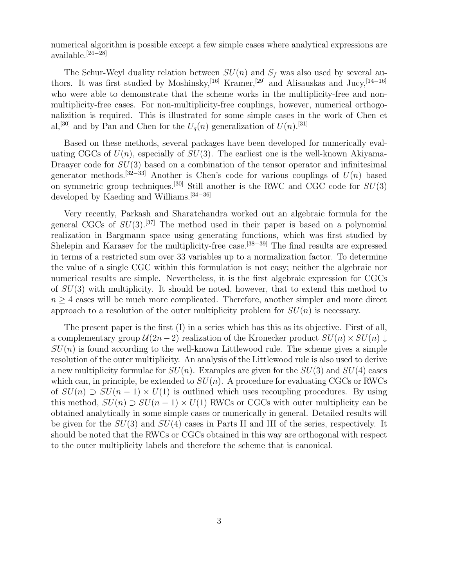numerical algorithm is possible except a few simple cases where analytical expressions are available.[24−28]

The Schur-Weyl duality relation between  $SU(n)$  and  $S_f$  was also used by several authors. It was first studied by Moshinsky,<sup>[16]</sup> Kramer,<sup>[29]</sup> and Alisauskas and Jucy,<sup>[14-16]</sup> who were able to demonstrate that the scheme works in the multiplicity-free and nonmultiplicity-free cases. For non-multiplicity-free couplings, however, numerical orthogonalizition is required. This is illustrated for some simple cases in the work of Chen et al,<sup>[30]</sup> and by Pan and Chen for the  $U_q(n)$  generalization of  $U(n)$ .<sup>[31]</sup>

Based on these methods, several packages have been developed for numerically evaluating CGCs of  $U(n)$ , especially of  $SU(3)$ . The earliest one is the well-known Akiyama-Draayer code for  $SU(3)$  based on a combination of the tensor operator and infinitesimal generator methods.<sup>[32–33]</sup> Another is Chen's code for various couplings of  $U(n)$  based on symmetric group techniques.<sup>[30]</sup> Still another is the RWC and CGC code for  $SU(3)$ developed by Kaeding and Williams.[34−36]

Very recently, Parkash and Sharatchandra worked out an algebraic formula for the general CGCs of  $SU(3)$ .<sup>[37]</sup> The method used in their paper is based on a polynomial realization in Bargmann space using generating functions, which was first studied by Shelepin and Karasev for the multiplicity-free case.<sup>[38–39]</sup> The final results are expressed in terms of a restricted sum over 33 variables up to a normalization factor. To determine the value of a single CGC within this formulation is not easy; neither the algebraic nor numerical results are simple. Nevertheless, it is the first algebraic expression for CGCs of  $SU(3)$  with multiplicity. It should be noted, however, that to extend this method to  $n \geq 4$  cases will be much more complicated. Therefore, another simpler and more direct approach to a resolution of the outer multiplicity problem for  $SU(n)$  is necessary.

The present paper is the first (I) in a series which has this as its objective. First of all, a complementary group  $\mathcal{U}(2n-2)$  realization of the Kronecker product  $SU(n) \times SU(n) \downarrow$  $SU(n)$  is found according to the well-known Littlewood rule. The scheme gives a simple resolution of the outer multiplicity. An analysis of the Littlewood rule is also used to derive a new multiplicity formulae for  $SU(n)$ . Examples are given for the  $SU(3)$  and  $SU(4)$  cases which can, in principle, be extended to  $SU(n)$ . A procedure for evaluating CGCs or RWCs of  $SU(n) \supset SU(n-1) \times U(1)$  is outlined which uses recoupling procedures. By using this method,  $SU(n) \supset SU(n-1) \times U(1)$  RWCs or CGCs with outer multiplicity can be obtained analytically in some simple cases or numerically in general. Detailed results will be given for the  $SU(3)$  and  $SU(4)$  cases in Parts II and III of the series, respectively. It should be noted that the RWCs or CGCs obtained in this way are orthogonal with respect to the outer multiplicity labels and therefore the scheme that is canonical.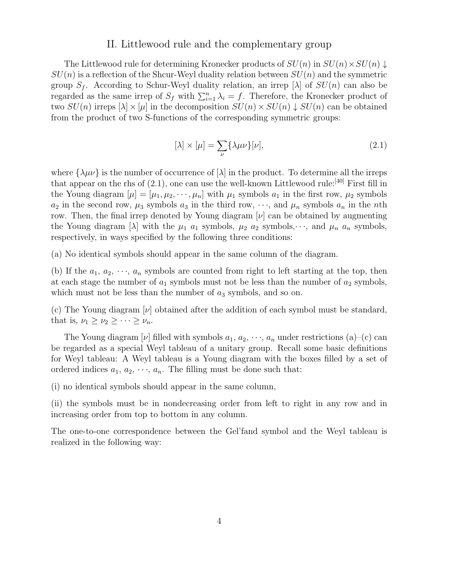#### II. Littlewood rule and the complementary group

The Littlewood rule for determining Kronecker products of  $SU(n)$  in  $SU(n) \times SU(n) \downarrow$  $SU(n)$  is a reflection of the Shcur-Weyl duality relation between  $SU(n)$  and the symmetric group  $S_f$ . According to Schur-Weyl duality relation, an irrep  $[\lambda]$  of  $SU(n)$  can also be regarded as the same irrep of  $S_f$  with  $\sum_{i=1}^n \lambda_i = f$ . Therefore, the Kronecker product of two  $SU(n)$  irreps  $[\lambda] \times [\mu]$  in the decomposition  $SU(n) \times SU(n) \downarrow SU(n)$  can be obtained from the product of two S-functions of the corresponding symmetric groups:

$$
[\lambda] \times [\mu] = \sum_{\nu} {\{\lambda \mu \nu\}}[\nu], \tag{2.1}
$$

where  $\{\lambda\mu\nu\}$  is the number of occurrence of  $[\lambda]$  in the product. To determine all the irreps that appear on the rhs of  $(2.1)$ , one can use the well-known Littlewood rule:<sup>[40]</sup> First fill in the Young diagram  $[\mu] = [\mu_1, \mu_2, \cdots, \mu_n]$  with  $\mu_1$  symbols  $a_1$  in the first row,  $\mu_2$  symbols  $a_2$  in the second row,  $\mu_3$  symbols  $a_3$  in the third row,  $\cdots$ , and  $\mu_n$  symbols  $a_n$  in the nth row. Then, the final irrep denoted by Young diagram  $[\nu]$  can be obtained by augmenting the Young diagram [ $\lambda$ ] with the  $\mu_1$  a<sub>1</sub> symbols,  $\mu_2$  a<sub>2</sub> symbols,  $\cdots$ , and  $\mu_n$  a<sub>n</sub> symbols, respectively, in ways specified by the following three conditions:

(a) No identical symbols should appear in the same column of the diagram.

(b) If the  $a_1, a_2, \dots, a_n$  symbols are counted from right to left starting at the top, then at each stage the number of  $a_1$  symbols must not be less than the number of  $a_2$  symbols, which must not be less than the number of  $a_3$  symbols, and so on.

(c) The Young diagram  $[\nu]$  obtained after the addition of each symbol must be standard, that is,  $\nu_1 \geq \nu_2 \geq \cdots \geq \nu_n$ .

The Young diagram  $[\nu]$  filled with symbols  $a_1, a_2, \dots, a_n$  under restrictions  $(a)$ –(c) can be regarded as a special Weyl tableau of a unitary group. Recall some basic definitions for Weyl tableau: A Weyl tableau is a Young diagram with the boxes filled by a set of ordered indices  $a_1, a_2, \dots, a_n$ . The filling must be done such that:

(i) no identical symbols should appear in the same column,

(ii) the symbols must be in nondecreasing order from left to right in any row and in increasing order from top to bottom in any column.

The one-to-one correspondence between the Gel'fand symbol and the Weyl tableau is realized in the following way: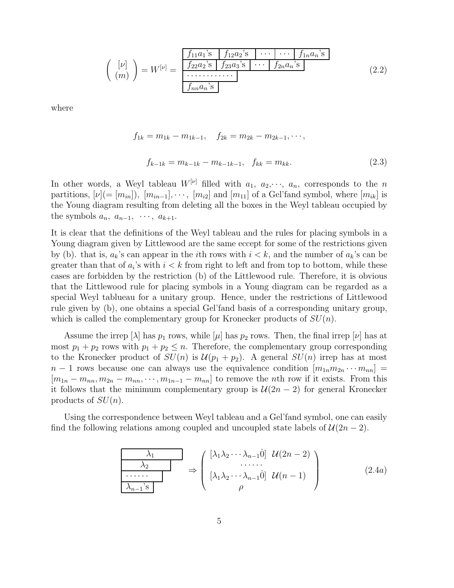$$
\begin{pmatrix}\n[\nu] \\
(m)\n\end{pmatrix} = W^{[\nu]} = \frac{\begin{array}{|c|c|c|c|c|c|c|c|c|c|c|c} f_{11}a_1 & \text{s} & f_{12}a_2 & \text{s} & \cdots & f_{1n}a_n & \text{s} \\
\hline f_{22}a_2 & \text{s} & f_{23}a_3 & \cdots & f_{2n}a_n & \text{s} \\
\hline \cdots & \cdots & \cdots & \cdots & \cdots & \cdots \\
\hline f_{nn}a_n & \text{s}\n\end{array}\n\tag{2.2}
$$

where

$$
f_{1k} = m_{1k} - m_{1k-1}, \quad f_{2k} = m_{2k} - m_{2k-1}, \cdots,
$$
  

$$
f_{k-1k} = m_{k-1k} - m_{k-1k-1}, \quad f_{kk} = m_{kk}.
$$
 (2.3)

In other words, a Weyl tableau  $W^{[\nu]}$  filled with  $a_1, a_2, \dots, a_n$ , corresponds to the n partitions,  $[\nu] = [m_{in}], [m_{in-1}], \cdots, [m_{i2}]$  and  $[m_{11}]$  of a Gel'fand symbol, where  $[m_{ik}]$  is the Young diagram resulting from deleting all the boxes in the Weyl tableau occupied by the symbols  $a_n$ ,  $a_{n-1}$ ,  $\cdots$ ,  $a_{k+1}$ .

It is clear that the definitions of the Weyl tableau and the rules for placing symbols in a Young diagram given by Littlewood are the same eccept for some of the restrictions given by (b). that is,  $a_k$ 's can appear in the *i*th rows with  $i < k$ , and the number of  $a_k$ 's can be greater than that of  $a_i$ 's with  $i < k$  from right to left and from top to bottom, while these cases are forbidden by the restriction (b) of the Littlewood rule. Therefore, it is obvious that the Littlewood rule for placing symbols in a Young diagram can be regarded as a special Weyl tablueau for a unitary group. Hence, under the restrictions of Littlewood rule given by (b), one obtains a special Gel'fand basis of a corresponding unitary group, which is called the complementary group for Kronecker products of  $SU(n)$ .

Assume the irrep  $[\lambda]$  has  $p_1$  rows, while  $[\mu]$  has  $p_2$  rows. Then, the final irrep  $[\nu]$  has at most  $p_1 + p_2$  rows with  $p_1 + p_2 \leq n$ . Therefore, the complementary group corresponding to the Kronecker product of  $SU(n)$  is  $\mathcal{U}(p_1 + p_2)$ . A general  $SU(n)$  irrep has at most  $n-1$  rows because one can always use the equivalence condition  $[m_{1n}m_{2n}\cdots m_{nn}] =$  $[m_{1n} - m_{nn}, m_{2n} - m_{nn}, \cdots, m_{1n-1} - m_{nn}]$  to remove the nth row if it exists. From this it follows that the minimum complementary group is  $\mathcal{U}(2n-2)$  for general Kronecker products of  $SU(n)$ .

Using the correspondence between Weyl tableau and a Gel'fand symbol, one can easily find the following relations among coupled and uncoupled state labels of  $\mathcal{U}(2n-2)$ .

$$
\begin{array}{c|c}\n\lambda_1 & \lambda_2 \\
\hline\n\lambda_2 & \lambda_{n-1} \text{ is } \\
\hline\n\lambda_{n-1} \text{ is } \\
\end{array}\n\Rightarrow\n\begin{pmatrix}\n[\lambda_1 \lambda_2 \cdots \lambda_{n-1} \dot{0}] & \mathcal{U}(2n-2) \\
\vdots & \vdots \\
[\lambda_1 \lambda_2 \cdots \lambda_{n-1} \dot{0}] & \mathcal{U}(n-1) \\
\rho\n\end{pmatrix}
$$
\n(2.4a)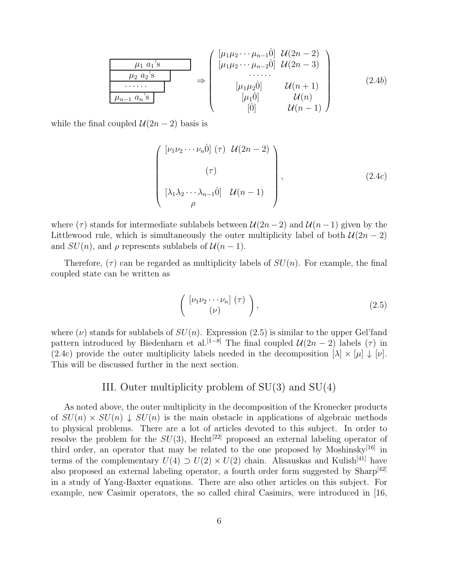$$
\frac{\mu_1 a_1^3}{\mu_2 a_2^3} \longrightarrow \begin{pmatrix}\n[\mu_1 \mu_2 \cdots \mu_{n-1} \dot{0}] & \mathcal{U}(2n-2) \\
[\mu_1 \mu_2 \cdots \mu_{n-2} \dot{0}] & \mathcal{U}(2n-3) \\
\vdots & \vdots & \ddots \\
[\mu_1 \mu_2 \dot{0}] & \mathcal{U}(n+1) \\
[\mu_1 \dot{0}] & \mathcal{U}(n)\n\end{pmatrix} \qquad (2.4b)
$$

while the final coupled  $U(2n-2)$  basis is

$$
\begin{pmatrix}\n[\nu_1 \nu_2 \cdots \nu_n \dot{0}] (\tau) \mathcal{U}(2n-2) \\
(\tau) \\
[\lambda_1 \lambda_2 \cdots \lambda_{n-1} \dot{0}] \mathcal{U}(n-1) \\
\rho\n\end{pmatrix},
$$
\n(2.4c)

where ( $\tau$ ) stands for intermediate sublabels between  $\mathcal{U}(2n-2)$  and  $\mathcal{U}(n-1)$  given by the Littlewood rule, which is simultaneously the outer multiplicity label of both  $\mathcal{U}(2n-2)$ and  $SU(n)$ , and  $\rho$  represents sublabels of  $\mathcal{U}(n-1)$ .

Therefore,  $(\tau)$  can be regarded as multiplicity labels of  $SU(n)$ . For example, the final coupled state can be written as

$$
\left(\begin{array}{c}\n[\nu_1 \nu_2 \cdots \nu_n](\tau) \\
(\nu)\n\end{array}\right),\n\tag{2.5}
$$

where  $(\nu)$  stands for sublabels of  $SU(n)$ . Expression (2.5) is similar to the upper Gel'fand pattern introduced by Biedenharn et al.<sup>[1–8]</sup> The final coupled  $\mathcal{U}(2n-2)$  labels ( $\tau$ ) in (2.4c) provide the outer multiplicity labels needed in the decomposition  $[\lambda] \times [\mu] \downarrow [\nu]$ . This will be discussed further in the next section.

# III. Outer multiplicity problem of SU(3) and SU(4)

As noted above, the outer multiplicity in the decomposition of the Kronecker products of  $SU(n) \times SU(n) \downarrow SU(n)$  is the main obstacle in applications of algebraic methods to physical problems. There are a lot of articles devoted to this subject. In order to resolve the problem for the  $SU(3)$ , Hecht<sup>[22]</sup> proposed an external labeling operator of third order, an operator that may be related to the one proposed by Moshinsky<sup>[16]</sup> in terms of the complementary  $U(4) \supset U(2) \times U(2)$  chain. Alisauskas and Kulish<sup>[41]</sup> have also proposed an external labeling operator, a fourth order form suggested by Sharp<sup>[42]</sup> in a study of Yang-Baxter equations. There are also other articles on this subject. For example, new Casimir operators, the so called chiral Casimirs, were introduced in [16,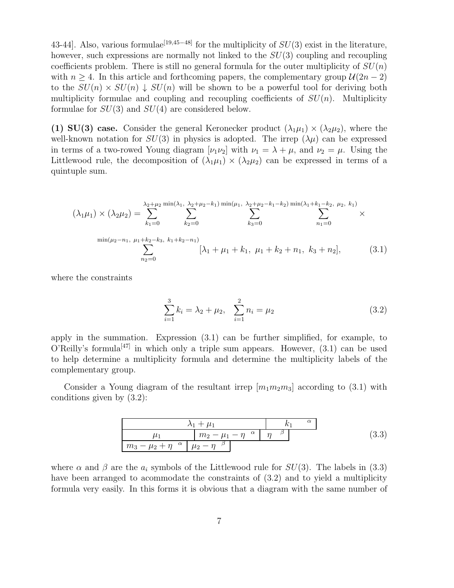43-44]. Also, various formulae<sup>[19,45–48]</sup> for the multiplicity of  $SU(3)$  exist in the literature, however, such expressions are normally not linked to the  $SU(3)$  coupling and recoupling coefficients problem. There is still no general formula for the outer multiplicity of  $SU(n)$ with  $n \geq 4$ . In this article and forthcoming papers, the complementary group  $\mathcal{U}(2n-2)$ to the  $SU(n) \times SU(n) \downarrow SU(n)$  will be shown to be a powerful tool for deriving both multiplicity formulae and coupling and recoupling coefficients of  $SU(n)$ . Multiplicity formulae for  $SU(3)$  and  $SU(4)$  are considered below.

(1) SU(3) case. Consider the general Keronecker product  $(\lambda_1\mu_1) \times (\lambda_2\mu_2)$ , where the well-known notation for  $SU(3)$  in physics is adopted. The irrep  $(\lambda \mu)$  can be expressed in terms of a two-rowed Young diagram  $[\nu_1 \nu_2]$  with  $\nu_1 = \lambda + \mu$ , and  $\nu_2 = \mu$ . Using the Littlewood rule, the decomposition of  $(\lambda_1\mu_1) \times (\lambda_2\mu_2)$  can be expressed in terms of a quintuple sum.

$$
(\lambda_1 \mu_1) \times (\lambda_2 \mu_2) = \sum_{k_1=0}^{\lambda_2 + \mu_2} \sum_{k_2=0}^{\min(\lambda_1, \lambda_2 + \mu_2 - k_1) \min(\mu_1, \lambda_2 + \mu_2 - k_1 - k_2) \min(\lambda_1 + k_1 - k_2, \mu_2, k_1)} \sum_{k_2=0}^{\min(\lambda_1 + \mu_2 - k_1) \min(\mu_2 - k_1, \mu_1 + k_2 - k_3, k_1 + k_2 - n_1)} \times \sum_{n_2=0}^{\min(\mu_2 - n_1, \mu_1 + k_2 - k_3, k_1 + k_2 - n_1)} [\lambda_1 + \mu_1 + k_1, \mu_1 + k_2 + n_1, k_3 + n_2], \quad (3.1)
$$

where the constraints

$$
\sum_{i=1}^{3} k_i = \lambda_2 + \mu_2, \quad \sum_{i=1}^{2} n_i = \mu_2 \tag{3.2}
$$

apply in the summation. Expression (3.1) can be further simplified, for example, to O'Reilly's formula<sup>[47]</sup> in which only a triple sum appears. However,  $(3.1)$  can be used to help determine a multiplicity formula and determine the multiplicity labels of the complementary group.

Consider a Young diagram of the resultant irrep  $[m_1m_2m_3]$  according to (3.1) with conditions given by (3.2):

λ<sup>1</sup> + µ<sup>1</sup> k<sup>1</sup> α µ<sup>1</sup> m<sup>2</sup> − µ<sup>1</sup> − η <sup>α</sup> η β m<sup>3</sup> − µ<sup>2</sup> + η <sup>α</sup> µ<sup>2</sup> − η β (3.3)

where  $\alpha$  and  $\beta$  are the  $a_i$  symbols of the Littlewood rule for  $SU(3)$ . The labels in (3.3) have been arranged to acommodate the constraints of (3.2) and to yield a multiplicity formula very easily. In this forms it is obvious that a diagram with the same number of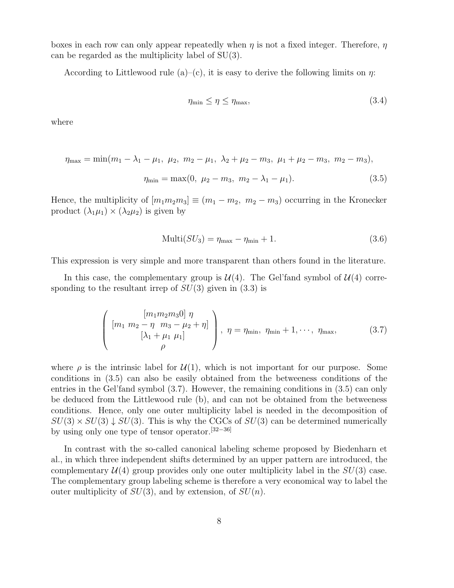boxes in each row can only appear repeatedly when  $\eta$  is not a fixed integer. Therefore,  $\eta$ can be regarded as the multiplicity label of SU(3).

According to Littlewood rule (a)–(c), it is easy to derive the following limits on  $\eta$ :

$$
\eta_{\min} \le \eta \le \eta_{\max},\tag{3.4}
$$

where

$$
\eta_{\text{max}} = \min(m_1 - \lambda_1 - \mu_1, \ \mu_2, \ m_2 - \mu_1, \ \lambda_2 + \mu_2 - m_3, \ \mu_1 + \mu_2 - m_3, \ m_2 - m_3),
$$

$$
\eta_{\text{min}} = \max(0, \ \mu_2 - m_3, \ m_2 - \lambda_1 - \mu_1). \tag{3.5}
$$

Hence, the multiplicity of  $[m_1m_2m_3] \equiv (m_1 - m_2, m_2 - m_3)$  occurring in the Kronecker product  $(\lambda_1\mu_1) \times (\lambda_2\mu_2)$  is given by

$$
Multi(SU_3) = \eta_{\text{max}} - \eta_{\text{min}} + 1. \tag{3.6}
$$

This expression is very simple and more transparent than others found in the literature.

In this case, the complementary group is  $\mathcal{U}(4)$ . The Gel'fand symbol of  $\mathcal{U}(4)$  corresponding to the resultant irrep of  $SU(3)$  given in  $(3.3)$  is

$$
\left(\begin{array}{c} [m_1 m_2 m_3 0] \ \eta \\ [m_1 \ \ m_2 - \eta \ \ m_3 - \mu_2 + \eta] \\ [\lambda_1 + \mu_1 \ \mu_1] \\ \rho \end{array}\right), \ \eta = \eta_{\min}, \ \eta_{\min} + 1, \cdots, \ \eta_{\max}, \tag{3.7}
$$

where  $\rho$  is the intrinsic label for  $\mathcal{U}(1)$ , which is not important for our purpose. Some conditions in (3.5) can also be easily obtained from the betweeness conditions of the entries in the Gel'fand symbol (3.7). However, the remaining conditions in (3.5) can only be deduced from the Littlewood rule (b), and can not be obtained from the betweeness conditions. Hence, only one outer multiplicity label is needed in the decomposition of  $SU(3) \times SU(3) \downarrow SU(3)$ . This is why the CGCs of  $SU(3)$  can be determined numerically by using only one type of tensor operator.[32−36]

In contrast with the so-called canonical labeling scheme proposed by Biedenharn et al., in which three independent shifts determined by an upper pattern are introduced, the complementary  $\mathcal{U}(4)$  group provides only one outer multiplicity label in the  $SU(3)$  case. The complementary group labeling scheme is therefore a very economical way to label the outer multiplicity of  $SU(3)$ , and by extension, of  $SU(n)$ .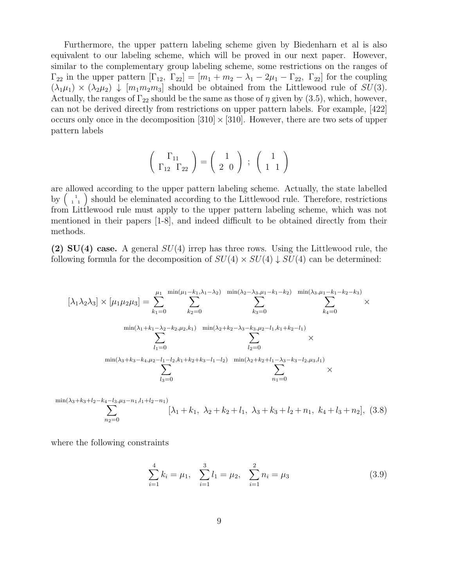Furthermore, the upper pattern labeling scheme given by Biedenharn et al is also equivalent to our labeling scheme, which will be proved in our next paper. However, similar to the complementary group labeling scheme, some restrictions on the ranges of  $\Gamma_{22}$  in the upper pattern  $[\Gamma_{12}, \Gamma_{22}] = [m_1 + m_2 - \lambda_1 - 2\mu_1 - \Gamma_{22}, \Gamma_{22}]$  for the coupling  $(\lambda_1\mu_1) \times (\lambda_2\mu_2) \downarrow [m_1m_2m_3]$  should be obtained from the Littlewood rule of  $SU(3)$ . Actually, the ranges of  $\Gamma_{22}$  should be the same as those of  $\eta$  given by (3.5), which, however, can not be derived directly from restrictions on upper pattern labels. For example, [422] occurs only once in the decomposition  $[310] \times [310]$ . However, there are two sets of upper pattern labels

$$
\left(\begin{array}{c}\Gamma_{11}\\ \Gamma_{12}\end{array}\right) = \left(\begin{array}{c}1\\2\end{array}\right) ; \left(\begin{array}{c}1\\1\end{array}\right)
$$

are allowed according to the upper pattern labeling scheme. Actually, the state labelled by  $\begin{pmatrix} 1 & 1 \\ 1 & 1 \end{pmatrix}$  should be eleminated according to the Littlewood rule. Therefore, restrictions from Littlewood rule must apply to the upper pattern labeling scheme, which was not mentioned in their papers [1-8], and indeed difficult to be obtained directly from their methods.

(2)  $SU(4)$  case. A general  $SU(4)$  irrep has three rows. Using the Littlewood rule, the following formula for the decomposition of  $SU(4) \times SU(4) \downarrow SU(4)$  can be determined:

$$
[\lambda_1 \lambda_2 \lambda_3] \times [\mu_1 \mu_2 \mu_3] = \sum_{k_1=0}^{\mu_1} \sum_{k_2=0}^{\min(\mu_1 - k_1, \lambda_1 - \lambda_2)} \sum_{k_3=0}^{\min(\lambda_2 - \lambda_3, \mu_1 - k_1 - k_2)} \sum_{k_4=0}^{\min(\lambda_3, \mu_1 - k_1 - k_2 - k_3)} \times \sum_{k_4=0}^{\min(\lambda_1 + k_1 - \lambda_2 - k_2, \mu_2, k_1)} \sum_{k_5=0}^{\min(\lambda_2 + k_2 - \lambda_3 - k_3, \mu_2 - l_1, k_1 + k_2 - l_1)} \times \sum_{l_2=0}^{\min(\lambda_3 + k_3 - k_4, \mu_2 - l_1 - l_2, k_1 + k_2 + k_3 - l_1 - l_2)} \sum_{k_3=0}^{\min(\lambda_2 + k_2 + l_1 - \lambda_3 - k_3 - l_2, \mu_3, l_1)} \times \sum_{k_1=0}^{\min(\lambda_3 + k_3 - k_4, \mu_2 - l_1 - l_2, k_1 + k_2 + k_3 - l_1 - l_2)} \times \sum_{k_1=0}^{\min(\lambda_3 + k_3 - k_4, \mu_2 - l_1 - l_2, k_1 + k_2 + k_3 - l_1 - l_2)} \times \sum_{k_1=0}^{\min(\lambda_3 + k_3 - k_3 - l_2, \mu_3, l_1)} \times \sum_{k_2=0}^{\min(\lambda_3 + k_3 - k_3 - l_2 - k_3)} \times \sum_{k_3=0}^{\min(\lambda_3 + k_3 - k_3 - l_1 - l_2)} \times \sum_{k_3=0}^{\min(\lambda_3 + k_3 - k_3 - l_1 - l_2)} \times \sum_{k_3=0}^{\min(\lambda_3 + k_3 - k_3 - l_1 - l_2)} \times \sum_{k_3=0}^{\min(\lambda_3 + k_3 - k_3 - l_1 - l_2)} \times \sum_{k_3=0}^{\min(\lambda_3 + k_3 - k_3 - l_1 - l_2)} \times \sum_{k_3=0}^{\min(\lambda_3 + k_3 - k_3 - l_1 - l_2)} \times \sum_{k_3=0}
$$

$$
\sum_{n_2=0}^{\min(\lambda_3+k_3+l_2-k_4-l_3,\mu_3-n_1,l_1+l_2-n_1)} [\lambda_1+k_1, \ \lambda_2+k_2+l_1, \ \lambda_3+k_3+l_2+n_1, \ k_4+l_3+n_2], \ (3.8)
$$

where the following constraints

$$
\sum_{i=1}^{4} k_i = \mu_1, \quad \sum_{i=1}^{3} l_i = \mu_2, \quad \sum_{i=1}^{2} n_i = \mu_3 \tag{3.9}
$$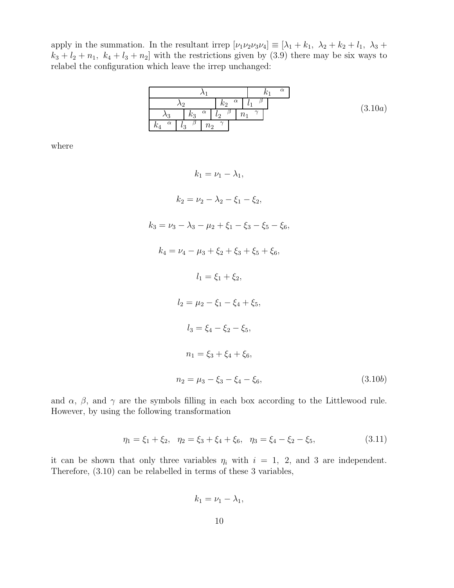apply in the summation. In the resultant irrep  $[\nu_1 \nu_2 \nu_3 \nu_4] \equiv [\lambda_1 + k_1, \lambda_2 + k_2 + l_1, \lambda_3 + l_2, \lambda_4]$  $k_3 + l_2 + n_1$ ,  $k_4 + l_3 + n_2$  with the restrictions given by (3.9) there may be six ways to relabel the configuration which leave the irrep unchanged:

|                          |          |                   |                       | $\alpha$ |         |
|--------------------------|----------|-------------------|-----------------------|----------|---------|
| ۰,                       |          | $\alpha$<br>$k_2$ |                       |          | (3.10a) |
| $k_3$<br>13              | $\alpha$ | ιo                | $\sim$<br>$n_{\cdot}$ |          |         |
| $\alpha$<br>₽<br>$\iota$ | $n_{2}$  | $\sim$            |                       |          |         |

where

 $k_1 = \nu_1 - \lambda_1$  $k_2 = \nu_2 - \lambda_2 - \xi_1 - \xi_2$  $k_3 = \nu_3 - \lambda_3 - \mu_2 + \xi_1 - \xi_3 - \xi_5 - \xi_6,$  $k_4 = \nu_4 - \mu_3 + \xi_2 + \xi_3 + \xi_5 + \xi_6,$  $l_1 = \xi_1 + \xi_2,$  $l_2 = \mu_2 - \xi_1 - \xi_4 + \xi_5$  $l_3 = \xi_4 - \xi_2 - \xi_5,$  $n_1 = \xi_3 + \xi_4 + \xi_6,$  $n_2 = \mu_3 - \xi_3 - \xi_4 - \xi_6,$  (3.10b)

and  $\alpha$ ,  $\beta$ , and  $\gamma$  are the symbols filling in each box according to the Littlewood rule. However, by using the following transformation

$$
\eta_1 = \xi_1 + \xi_2, \quad \eta_2 = \xi_3 + \xi_4 + \xi_6, \quad \eta_3 = \xi_4 - \xi_2 - \xi_5,\tag{3.11}
$$

it can be shown that only three variables  $\eta_i$  with  $i = 1, 2,$  and 3 are independent. Therefore, (3.10) can be relabelled in terms of these 3 variables,

$$
k_1=\nu_1-\lambda_1,
$$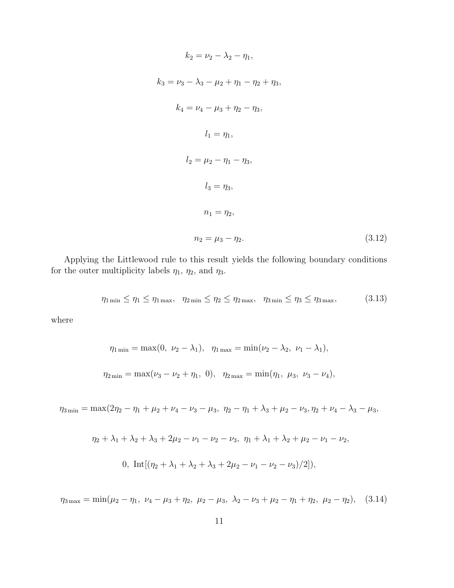$$
k_2 = \nu_2 - \lambda_2 - \eta_1,
$$
  
\n
$$
k_3 = \nu_3 - \lambda_3 - \mu_2 + \eta_1 - \eta_2 + \eta_3,
$$
  
\n
$$
k_4 = \nu_4 - \mu_3 + \eta_2 - \eta_3,
$$
  
\n
$$
l_1 = \eta_1,
$$
  
\n
$$
l_2 = \mu_2 - \eta_1 - \eta_3,
$$
  
\n
$$
l_3 = \eta_3,
$$
  
\n
$$
n_1 = \eta_2,
$$
  
\n
$$
n_2 = \mu_3 - \eta_2.
$$
\n(3.12)

Applying the Littlewood rule to this result yields the following boundary conditions for the outer multiplicity labels  $\eta_1$ ,  $\eta_2$ , and  $\eta_3$ .

$$
\eta_{1\min} \le \eta_1 \le \eta_{1\max}, \quad \eta_{2\min} \le \eta_2 \le \eta_{2\max}, \quad \eta_{3\min} \le \eta_3 \le \eta_{3\max}, \tag{3.13}
$$

where

$$
\eta_{1\min} = \max(0, \ \nu_2 - \lambda_1), \ \ \eta_{1\max} = \min(\nu_2 - \lambda_2, \ \nu_1 - \lambda_1),
$$
  

$$
\eta_{2\min} = \max(\nu_3 - \nu_2 + \eta_1, \ 0), \ \ \eta_{2\max} = \min(\eta_1, \ \mu_3, \ \nu_3 - \nu_4),
$$

 $\eta_{3\min} = \max(2\eta_2 - \eta_1 + \mu_2 + \nu_4 - \nu_3 - \mu_3, \ \eta_2 - \eta_1 + \lambda_3 + \mu_2 - \nu_3, \eta_2 + \nu_4 - \lambda_3 - \mu_3,$ 

$$
\eta_2 + \lambda_1 + \lambda_2 + \lambda_3 + 2\mu_2 - \nu_1 - \nu_2 - \nu_3, \ \eta_1 + \lambda_1 + \lambda_2 + \mu_2 - \nu_1 - \nu_2,
$$
  
0, 
$$
\text{Int}[(\eta_2 + \lambda_1 + \lambda_2 + \lambda_3 + 2\mu_2 - \nu_1 - \nu_2 - \nu_3)/2]),
$$

 $\eta_{3\,\text{max}} = \min(\mu_2 - \eta_1, \ \nu_4 - \mu_3 + \eta_2, \ \mu_2 - \mu_3, \ \lambda_2 - \nu_3 + \mu_2 - \eta_1 + \eta_2, \ \mu_2 - \eta_2),$  (3.14)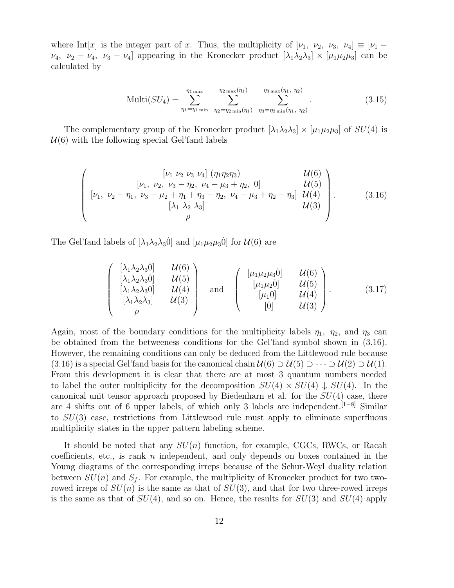where Int[x] is the integer part of x. Thus, the multiplicity of  $[\nu_1, \nu_2, \nu_3, \nu_4] \equiv [\nu_1 \nu_4$ ,  $\nu_2 - \nu_4$ ,  $\nu_3 - \nu_4$ ] appearing in the Kronecker product  $[\lambda_1 \lambda_2 \lambda_3] \times [\mu_1 \mu_2 \mu_3]$  can be calculated by

$$
\text{Multi}(SU_4) = \sum_{\eta_1 = \eta_1 \text{ min}}^{\eta_1 \text{ max}} \sum_{\eta_2 = \eta_2 \text{ min}}^{\eta_2 \text{ max}(\eta_1)} \sum_{\eta_3 = \eta_3 \text{ min}(\eta_1, \eta_2)}^{\eta_3 \text{ max}(\eta_1, \eta_2)}.
$$
(3.15)

The complementary group of the Kronecker product  $[\lambda_1 \lambda_2 \lambda_3] \times [\mu_1 \mu_2 \mu_3]$  of  $SU(4)$  is  $U(6)$  with the following special Gel'fand labels

$$
\begin{pmatrix}\n[\nu_1 \ \nu_2 \ \nu_3 \ \nu_4] (\eta_1 \eta_2 \eta_3) & \mathcal{U}(6) \\
[\nu_1, \ \nu_2, \ \nu_3 - \eta_2, \ \nu_4 - \mu_3 + \eta_2, \ 0] & \mathcal{U}(5) \\
[\nu_1, \ \nu_2 - \eta_1, \ \nu_3 - \mu_2 + \eta_1 + \eta_3 - \eta_2, \ \nu_4 - \mu_3 + \eta_2 - \eta_3] & \mathcal{U}(4) \\
[\lambda_1 \ \lambda_2 \ \lambda_3] & \mathcal{U}(3) \\
\rho\n\end{pmatrix}.
$$
\n(3.16)

The Gel'fand labels of  $[\lambda_1 \lambda_2 \lambda_3 \dot{0}]$  and  $[\mu_1 \mu_2 \mu_3 \dot{0}]$  for  $\mathcal{U}(6)$  are

$$
\begin{pmatrix}\n[\lambda_1 \lambda_2 \lambda_3 \dot{0}] & \mathcal{U}(6) \\
[\lambda_1 \lambda_2 \lambda_3 \dot{0}] & \mathcal{U}(5) \\
[\lambda_1 \lambda_2 \lambda_3 0] & \mathcal{U}(4) \\
[\lambda_1 \lambda_2 \lambda_3] & \mathcal{U}(3) \\
\rho\n\end{pmatrix}\n\text{ and }\n\begin{pmatrix}\n[\mu_1 \mu_2 \mu_3 \dot{0}] & \mathcal{U}(6) \\
[\mu_1 \mu_2 \dot{0}] & \mathcal{U}(5) \\
[\mu_1 \dot{0}] & \mathcal{U}(4) \\
\hline\n[0] & \mathcal{U}(3)\n\end{pmatrix}.
$$
\n(3.17)

Again, most of the boundary conditions for the multiplicity labels  $\eta_1$ ,  $\eta_2$ , and  $\eta_3$  can be obtained from the betweeness conditions for the Gel'fand symbol shown in (3.16). However, the remaining conditions can only be deduced from the Littlewood rule because (3.16) is a special Gel'fand basis for the canonical chain  $U(6) \supset U(5) \supset \cdots \supset U(2) \supset U(1)$ . From this development it is clear that there are at most 3 quantum numbers needed to label the outer multiplicity for the decomposition  $SU(4) \times SU(4) \downarrow SU(4)$ . In the canonical unit tensor approach proposed by Biedenharn et al. for the  $SU(4)$  case, there are 4 shifts out of 6 upper labels, of which only 3 labels are independent.[1−8] Similar to  $SU(3)$  case, restrictions from Littlewood rule must apply to eliminate superfluous multiplicity states in the upper pattern labeling scheme.

It should be noted that any  $SU(n)$  function, for example, CGCs, RWCs, or Racah coefficients, etc., is rank  $n$  independent, and only depends on boxes contained in the Young diagrams of the corresponding irreps because of the Schur-Weyl duality relation between  $SU(n)$  and  $S_f$ . For example, the multiplicity of Kronecker product for two tworowed irreps of  $SU(n)$  is the same as that of  $SU(3)$ , and that for two three-rowed irreps is the same as that of  $SU(4)$ , and so on. Hence, the results for  $SU(3)$  and  $SU(4)$  apply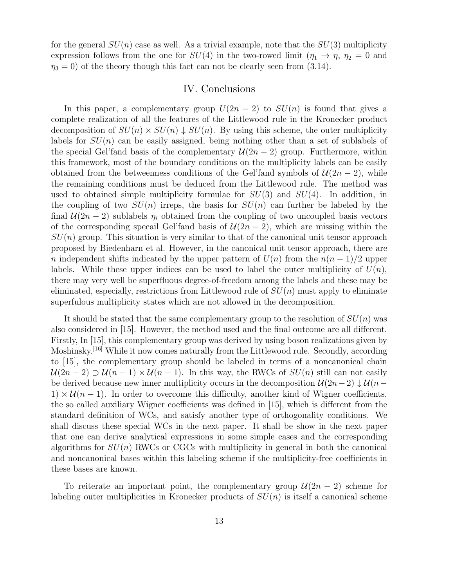for the general  $SU(n)$  case as well. As a trivial example, note that the  $SU(3)$  multiplicity expression follows from the one for  $SU(4)$  in the two-rowed limit  $(\eta_1 \to \eta, \eta_2 = 0$  and  $\eta_3 = 0$ ) of the theory though this fact can not be clearly seen from (3.14).

### IV. Conclusions

In this paper, a complementary group  $U(2n-2)$  to  $SU(n)$  is found that gives a complete realization of all the features of the Littlewood rule in the Kronecker product decomposition of  $SU(n) \times SU(n) \downarrow SU(n)$ . By using this scheme, the outer multiplicity labels for  $SU(n)$  can be easily assigned, being nothing other than a set of sublabels of the special Gel'fand basis of the complementary  $\mathcal{U}(2n-2)$  group. Furthermore, within this framework, most of the boundary conditions on the multiplicity labels can be easily obtained from the betweenness conditions of the Gel'fand symbols of  $\mathcal{U}(2n-2)$ , while the remaining conditions must be deduced from the Littlewood rule. The method was used to obtained simple multiplicity formulae for  $SU(3)$  and  $SU(4)$ . In addition, in the coupling of two  $SU(n)$  irreps, the basis for  $SU(n)$  can further be labeled by the final  $\mathcal{U}(2n-2)$  sublabels  $\eta_i$  obtained from the coupling of two uncoupled basis vectors of the corresponding specail Gel'fand basis of  $\mathcal{U}(2n-2)$ , which are missing within the  $SU(n)$  group. This situation is very similar to that of the canonical unit tensor approach proposed by Biedenharn et al. However, in the canonical unit tensor approach, there are n independent shifts indicated by the upper pattern of  $U(n)$  from the  $n(n-1)/2$  upper labels. While these upper indices can be used to label the outer multiplicity of  $U(n)$ , there may very well be superfluous degree-of-freedom among the labels and these may be eliminated, especially, restrictions from Littlewood rule of  $SU(n)$  must apply to eliminate superfulous multiplicity states which are not allowed in the decomposition.

It should be stated that the same complementary group to the resolution of  $SU(n)$  was also considered in [15]. However, the method used and the final outcome are all different. Firstly, In [15], this complementary group was derived by using boson realizations given by Moshinsky.<sup>[16]</sup> While it now comes naturally from the Littlewood rule. Secondly, according to [15], the complementary group should be labeled in terms of a noncanonical chain  $U(2n-2) \supset U(n-1) \times U(n-1)$ . In this way, the RWCs of  $SU(n)$  still can not easily be derived because new inner multiplicity occurs in the decomposition  $\mathcal{U}(2n-2) \downarrow \mathcal{U}(n-2)$  $1) \times \mathcal{U}(n-1)$ . In order to overcome this difficulty, another kind of Wigner coefficients, the so called auxiliary Wigner coefficients was defined in [15], which is different from the standard definition of WCs, and satisfy another type of orthogonality conditions. We shall discuss these special WCs in the next paper. It shall be show in the next paper that one can derive analytical expressions in some simple cases and the corresponding algorithms for  $SU(n)$  RWCs or CGCs with multiplicity in general in both the canonical and noncanonical bases within this labeling scheme if the multiplicity-free coefficients in these bases are known.

To reiterate an important point, the complementary group  $\mathcal{U}(2n-2)$  scheme for labeling outer multiplicities in Kronecker products of  $SU(n)$  is itself a canonical scheme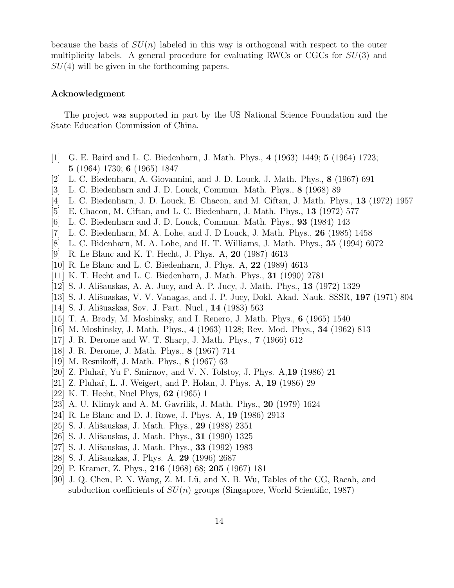because the basis of  $SU(n)$  labeled in this way is orthogonal with respect to the outer multiplicity labels. A general procedure for evaluating RWCs or CGCs for  $SU(3)$  and  $SU(4)$  will be given in the forthcoming papers.

#### Acknowledgment

The project was supported in part by the US National Science Foundation and the State Education Commission of China.

- [1] G. E. Baird and L. C. Biedenharn, J. Math. Phys., 4 (1963) 1449; 5 (1964) 1723; 5 (1964) 1730; 6 (1965) 1847
- [2] L. C. Biedenharn, A. Giovannini, and J. D. Louck, J. Math. Phys., 8 (1967) 691
- [3] L. C. Biedenharn and J. D. Louck, Commun. Math. Phys., 8 (1968) 89
- [4] L. C. Biedenharn, J. D. Louck, E. Chacon, and M. Ciftan, J. Math. Phys., 13 (1972) 1957
- [5] E. Chacon, M. Ciftan, and L. C. Biedenharn, J. Math. Phys., 13 (1972) 577
- [6] L. C. Biedenharn and J. D. Louck, Commun. Math. Phys., 93 (1984) 143
- [7] L. C. Biedenharn, M. A. Lohe, and J. D Louck, J. Math. Phys., 26 (1985) 1458
- [8] L. C. Bidenharn, M. A. Lohe, and H. T. Williams, J. Math. Phys., 35 (1994) 6072
- [9] R. Le Blanc and K. T. Hecht, J. Phys. A, 20 (1987) 4613
- [10] R. Le Blanc and L. C. Biedenharn, J. Phys. A, 22 (1989) 4613
- [11] K. T. Hecht and L. C. Biedenharn, J. Math. Phys., 31 (1990) 2781
- [12] S. J. Ališauskas, A. A. Jucy, and A. P. Jucy, J. Math. Phys., **13** (1972) 1329
- [13] S. J. Ališuaskas, V. V. Vanagas, and J. P. Jucy, Dokl. Akad. Nauk. SSSR, 197 (1971) 804
- [14] S. J. Ališuaskas, Sov. J. Part. Nucl., **14** (1983) 563
- [15] T. A. Brody, M. Moshinsky, and I. Renero, J. Math. Phys., 6 (1965) 1540
- [16] M. Moshinsky, J. Math. Phys., 4 (1963) 1128; Rev. Mod. Phys., 34 (1962) 813
- [17] J. R. Derome and W. T. Sharp, J. Math. Phys., 7 (1966) 612
- [18] J. R. Derome, J. Math. Phys., 8 (1967) 714
- [19] M. Resnikoff, J. Math. Phys., 8 (1967) 63
- [20] Z. Pluhař, Yu F. Smirnov, and V. N. Tolstoy, J. Phys. A, **19** (1986) 21
- [21] Z. Pluhař, L. J. Weigert, and P. Holan, J. Phys. A, 19 (1986) 29
- [22] K. T. Hecht, Nucl Phys, 62 (1965) 1
- [23] A. U. Klimyk and A. M. Gavrilik, J. Math. Phys., 20 (1979) 1624
- [24] R. Le Blanc and D. J. Rowe, J. Phys. A, 19 (1986) 2913
- [25] S. J. Ališauskas, J. Math. Phys., 29 (1988) 2351
- [26] S. J. Ališauskas, J. Math. Phys., **31** (1990) 1325
- [27] S. J. Ališauskas, J. Math. Phys., **33** (1992) 1983
- [28] S. J. Ališauskas, J. Phys. A, 29 (1996) 2687
- [29] P. Kramer, Z. Phys., 216 (1968) 68; 205 (1967) 181
- [30] J. Q. Chen, P. N. Wang, Z. M. Lü, and X. B. Wu, Tables of the CG, Racah, and subduction coefficients of  $SU(n)$  groups (Singapore, World Scientific, 1987)